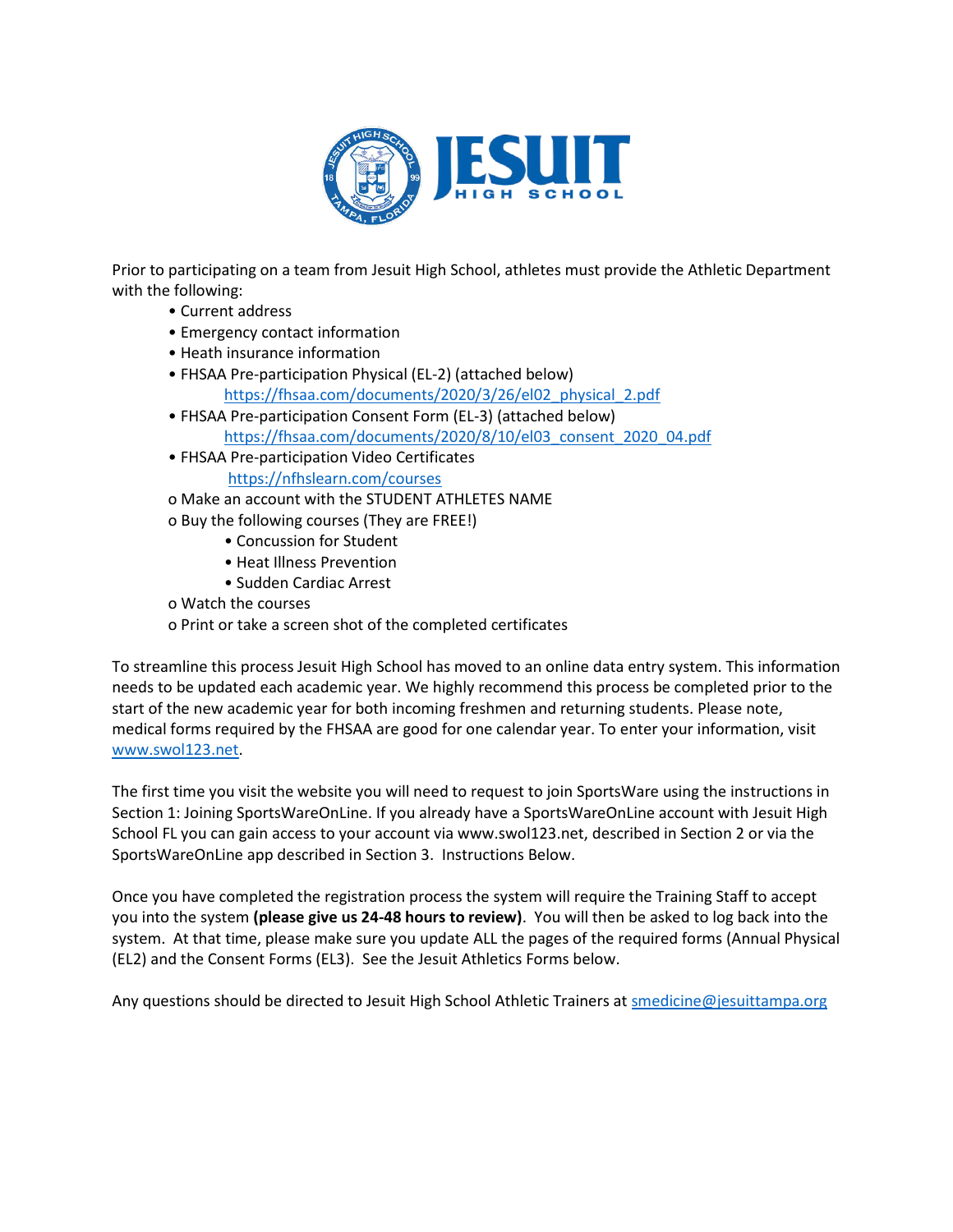

Prior to participating on a team from Jesuit High School, athletes must provide the Athletic Department with the following:

- Current address
- Emergency contact information
- Heath insurance information
- FHSAA Pre-participation Physical (EL-2) (attached below) [https://fhsaa.com/documents/2020/3/26/el02\\_physical\\_2.pdf](https://fhsaa.com/documents/2020/3/26/el02_physical_2.pdf)
- FHSAA Pre-participation Consent Form (EL-3) (attached below) [https://fhsaa.com/documents/2020/8/10/el03\\_consent\\_2020\\_04.pdf](https://fhsaa.com/documents/2020/8/10/el03_consent_2020_04.pdf)
- FHSAA Pre-participation Video Certificates
	- <https://nfhslearn.com/courses>
- o Make an account with the STUDENT ATHLETES NAME
- o Buy the following courses (They are FREE!)
	- Concussion for Student
	- Heat Illness Prevention
	- Sudden Cardiac Arrest

o Watch the courses

o Print or take a screen shot of the completed certificates

To streamline this process Jesuit High School has moved to an online data entry system. This information needs to be updated each academic year. We highly recommend this process be completed prior to the start of the new academic year for both incoming freshmen and returning students. Please note, medical forms required by the FHSAA are good for one calendar year. To enter your information, visit [www.swol123.net.](http://www.swol123.net/)

The first time you visit the website you will need to request to join SportsWare using the instructions in Section 1: Joining SportsWareOnLine. If you already have a SportsWareOnLine account with Jesuit High School FL you can gain access to your account via www.swol123.net, described in Section 2 or via the SportsWareOnLine app described in Section 3. Instructions Below.

Once you have completed the registration process the system will require the Training Staff to accept you into the system **(please give us 24-48 hours to review)**. You will then be asked to log back into the system. At that time, please make sure you update ALL the pages of the required forms (Annual Physical (EL2) and the Consent Forms (EL3). See the Jesuit Athletics Forms below.

Any questions should be directed to Jesuit High School Athletic Trainers a[t smedicine@jesuittampa.org](mailto:smedicine@jesuittampa.org)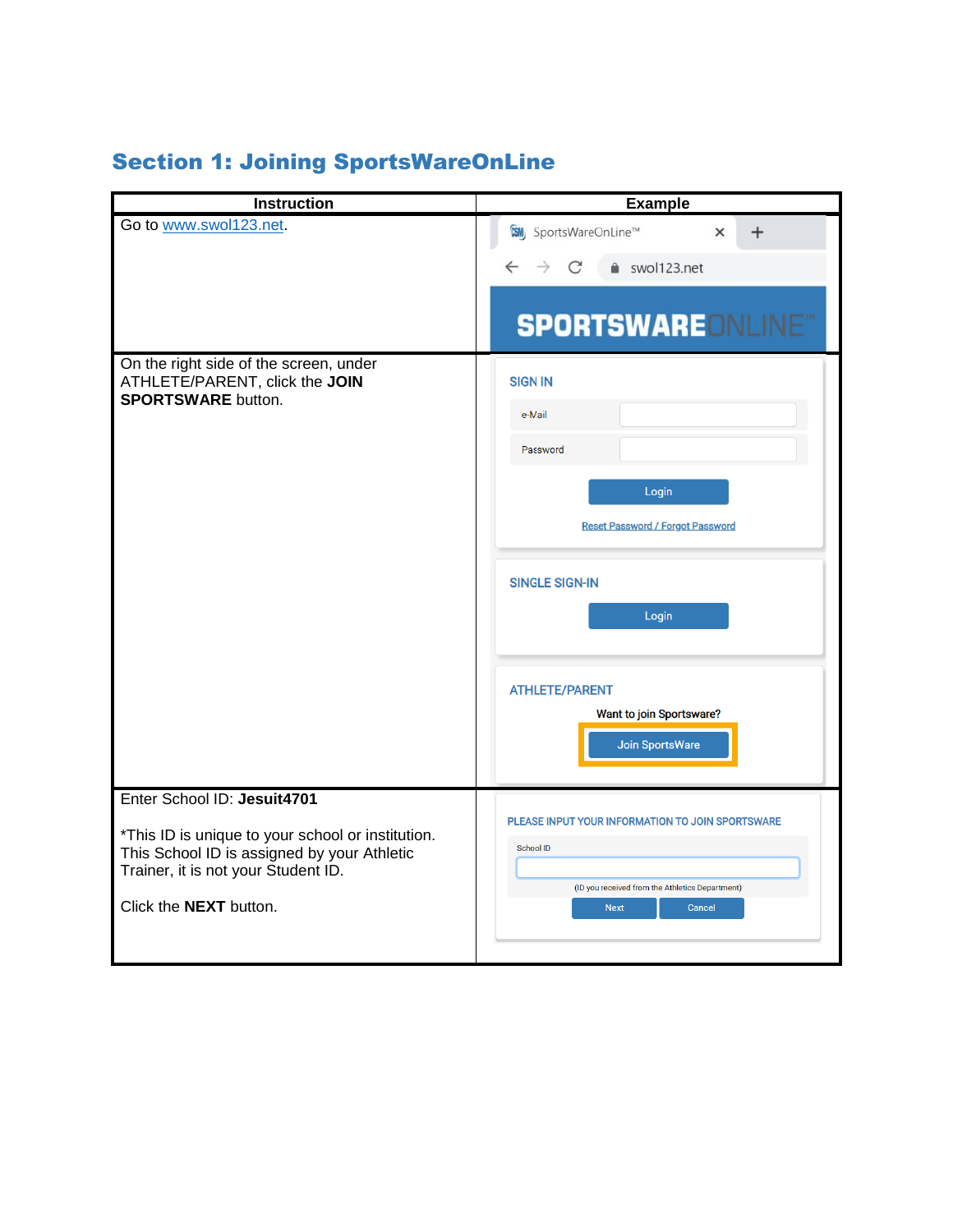# Section 1: Joining SportsWareOnLine

| <b>Instruction</b>                                                                                                                      | <b>Example</b>                                                           |
|-----------------------------------------------------------------------------------------------------------------------------------------|--------------------------------------------------------------------------|
| Go to www.swol123.net.                                                                                                                  | <b>CSM</b> SportsWareOnLine™<br>$\times$                                 |
|                                                                                                                                         | swol123.net<br>C                                                         |
|                                                                                                                                         | <b>SPORTSWAREDNLINET</b>                                                 |
| On the right side of the screen, under<br>ATHLETE/PARENT, click the JOIN<br><b>SPORTSWARE button.</b>                                   | <b>SIGN IN</b>                                                           |
|                                                                                                                                         | e-Mail                                                                   |
|                                                                                                                                         | Password                                                                 |
|                                                                                                                                         | Login                                                                    |
|                                                                                                                                         | <b>Reset Password / Forgot Password</b>                                  |
|                                                                                                                                         | <b>SINGLE SIGN-IN</b>                                                    |
|                                                                                                                                         | Login                                                                    |
|                                                                                                                                         | <b>ATHLETE/PARENT</b>                                                    |
|                                                                                                                                         | Want to join Sportsware?<br>Join SportsWare                              |
| Enter School ID: Jesuit4701                                                                                                             | PLEASE INPUT YOUR INFORMATION TO JOIN SPORTSWARE                         |
| *This ID is unique to your school or institution.<br>This School ID is assigned by your Athletic<br>Trainer, it is not your Student ID. | <b>School ID</b>                                                         |
| Click the <b>NEXT</b> button.                                                                                                           | (ID you received from the Athletics Department)<br><b>Next</b><br>Cancel |
|                                                                                                                                         |                                                                          |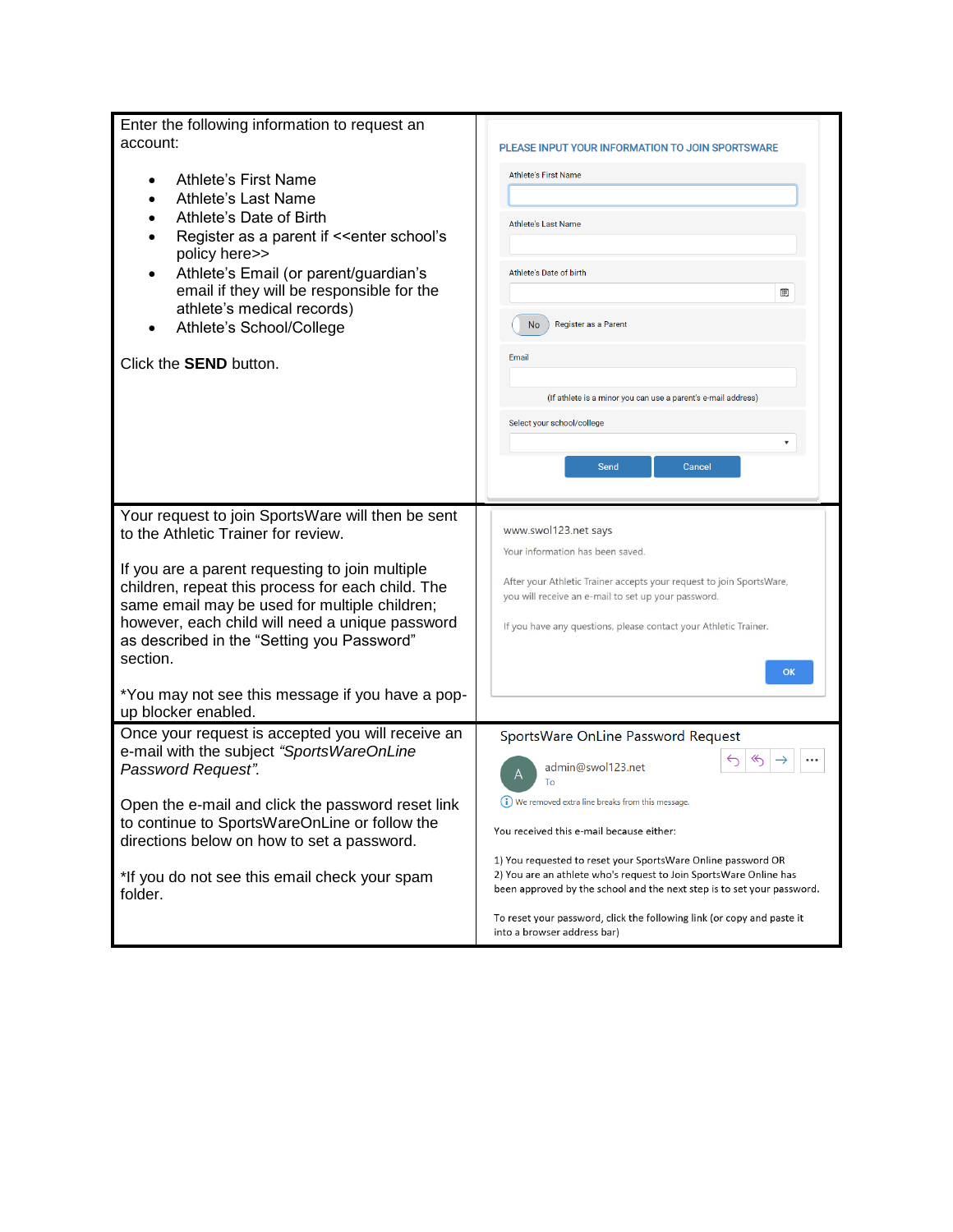| Enter the following information to request an<br>account:<br>Athlete's First Name<br>Athlete's Last Name<br>Athlete's Date of Birth<br>Register as a parent if << enter school's<br>policy here>><br>Athlete's Email (or parent/guardian's<br>email if they will be responsible for the<br>athlete's medical records)<br>Athlete's School/College<br>Click the <b>SEND</b> button.                                                        | PLEASE INPUT YOUR INFORMATION TO JOIN SPORTSWARE<br><b>Athlete's First Name</b><br><b>Athlete's Last Name</b><br><b>Athlete's Date of birth</b><br>▦<br>Register as a Parent<br><b>No</b><br>Email<br>(If athlete is a minor you can use a parent's e-mail address)<br>Select your school/college<br>Send<br>Cancel                                                                                                                                                                                |
|-------------------------------------------------------------------------------------------------------------------------------------------------------------------------------------------------------------------------------------------------------------------------------------------------------------------------------------------------------------------------------------------------------------------------------------------|----------------------------------------------------------------------------------------------------------------------------------------------------------------------------------------------------------------------------------------------------------------------------------------------------------------------------------------------------------------------------------------------------------------------------------------------------------------------------------------------------|
| Your request to join SportsWare will then be sent<br>to the Athletic Trainer for review.<br>If you are a parent requesting to join multiple<br>children, repeat this process for each child. The<br>same email may be used for multiple children;<br>however, each child will need a unique password<br>as described in the "Setting you Password"<br>section.<br>*You may not see this message if you have a pop-<br>up blocker enabled. | www.swol123.net says<br>Your information has been saved.<br>After your Athletic Trainer accepts your request to join SportsWare,<br>you will receive an e-mail to set up your password.<br>If you have any questions, please contact your Athletic Trainer.<br>OK                                                                                                                                                                                                                                  |
| Once your request is accepted you will receive an<br>e-mail with the subject "SportsWareOnLine<br>Password Request".<br>Open the e-mail and click the password reset link<br>to continue to SportsWareOnLine or follow the<br>directions below on how to set a password.<br>*If you do not see this email check your spam<br>folder.                                                                                                      | SportsWare OnLine Password Request<br>জ<br>⇆<br>admin@swol123.net<br>To<br>(i) We removed extra line breaks from this message.<br>You received this e-mail because either:<br>1) You requested to reset your SportsWare Online password OR<br>2) You are an athlete who's request to Join SportsWare Online has<br>been approved by the school and the next step is to set your password.<br>To reset your password, click the following link (or copy and paste it<br>into a browser address bar) |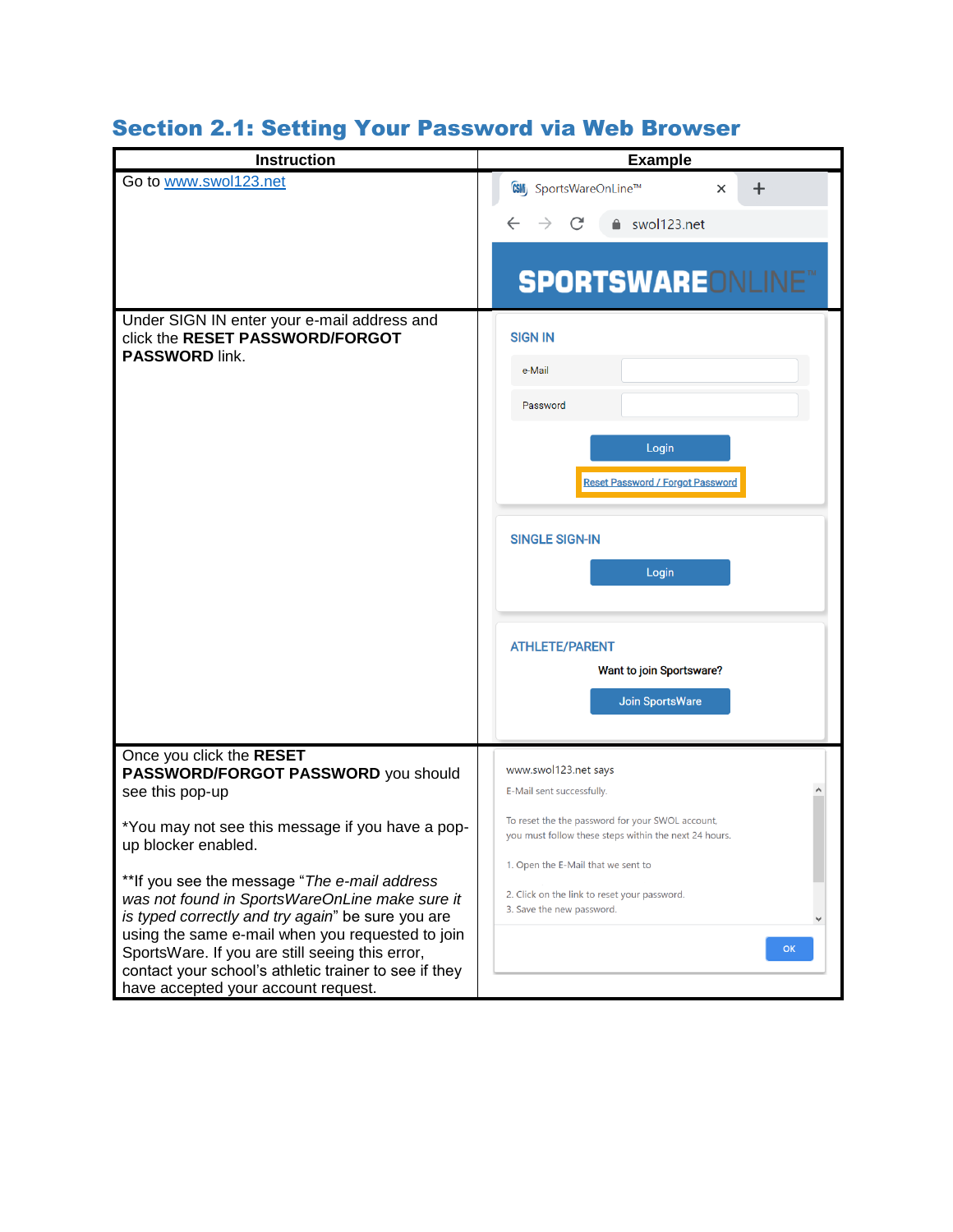# Section 2.1: Setting Your Password via Web Browser

| <b>Instruction</b>                                                                                                                                                                                                                                          | <b>Example</b>                                                                                                               |
|-------------------------------------------------------------------------------------------------------------------------------------------------------------------------------------------------------------------------------------------------------------|------------------------------------------------------------------------------------------------------------------------------|
| Go to www.swol123.net                                                                                                                                                                                                                                       | <b>CSMi</b> , SportsWareOnLine™<br>$\ddot{}$<br>$\times$                                                                     |
|                                                                                                                                                                                                                                                             | C<br>■ swol123.net                                                                                                           |
|                                                                                                                                                                                                                                                             | <b>SPORTSWAREONLINE®</b>                                                                                                     |
| Under SIGN IN enter your e-mail address and<br>click the RESET PASSWORD/FORGOT<br><b>PASSWORD link.</b>                                                                                                                                                     | <b>SIGN IN</b>                                                                                                               |
|                                                                                                                                                                                                                                                             | e-Mail                                                                                                                       |
|                                                                                                                                                                                                                                                             | Password                                                                                                                     |
|                                                                                                                                                                                                                                                             | Login<br><b>Reset Password / Forgot Password</b>                                                                             |
|                                                                                                                                                                                                                                                             | <b>SINGLE SIGN-IN</b>                                                                                                        |
|                                                                                                                                                                                                                                                             | Login                                                                                                                        |
|                                                                                                                                                                                                                                                             | <b>ATHLETE/PARENT</b><br>Want to join Sportsware?                                                                            |
|                                                                                                                                                                                                                                                             | Join SportsWare                                                                                                              |
| Once you click the RESET<br>PASSWORD/FORGOT PASSWORD you should<br>see this pop-up                                                                                                                                                                          | www.swol123.net says<br>E-Mail sent successfully.                                                                            |
| *You may not see this message if you have a pop-<br>up blocker enabled.                                                                                                                                                                                     | To reset the the password for your SWOL account,<br>you must follow these steps within the next 24 hours.                    |
| ** If you see the message "The e-mail address<br>was not found in SportsWareOnLine make sure it<br>is typed correctly and try again" be sure you are<br>using the same e-mail when you requested to join<br>SportsWare. If you are still seeing this error, | 1. Open the E-Mail that we sent to<br>2. Click on the link to reset your password.<br>3. Save the new password.<br><b>OK</b> |
| contact your school's athletic trainer to see if they<br>have accepted your account request.                                                                                                                                                                |                                                                                                                              |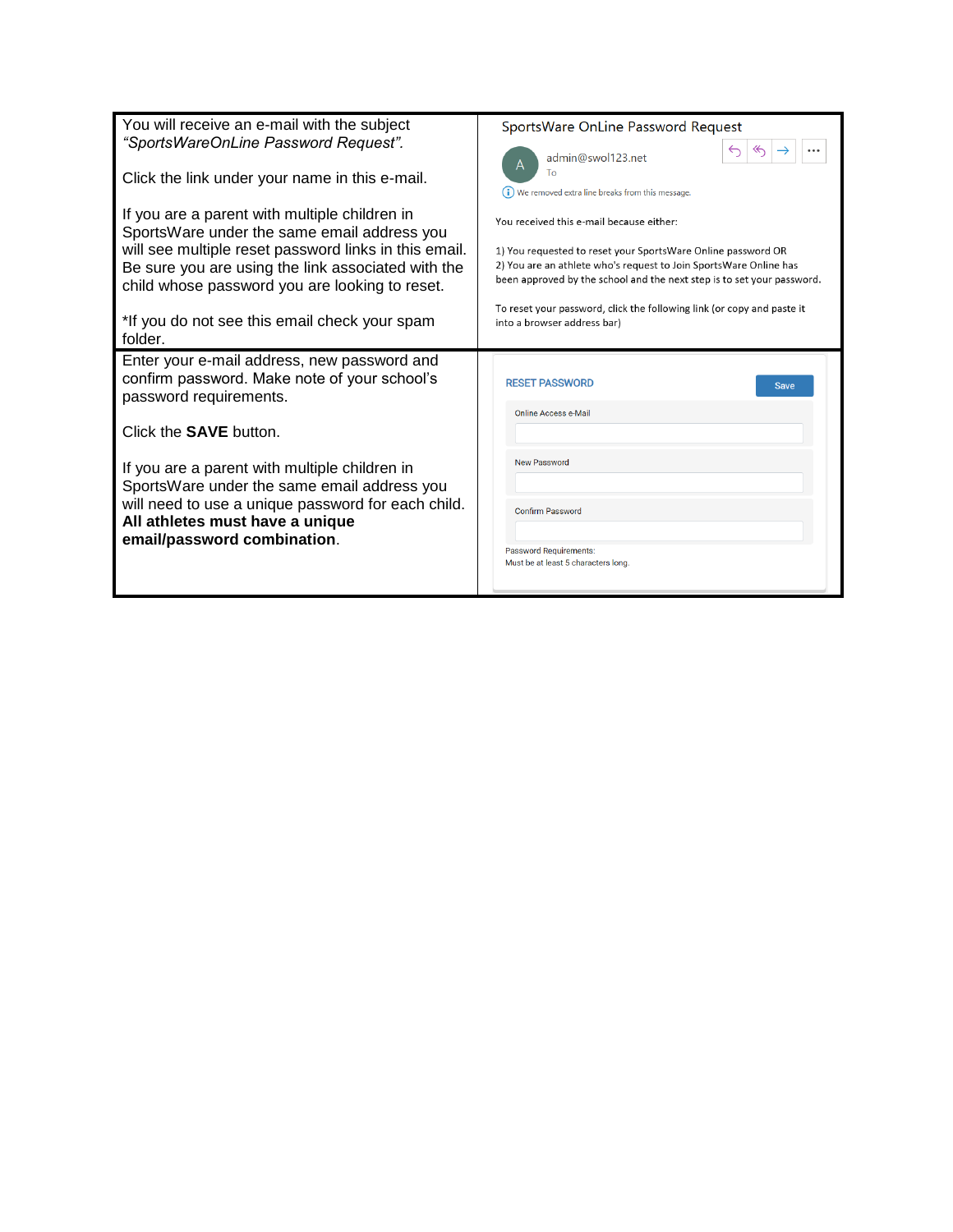| You will receive an e-mail with the subject<br>"SportsWareOnLine Password Request".                                                                                                                                                                           | SportsWare OnLine Password Request<br>$\ll$<br>↽<br>admin@swol123.net                                                                                                                                                                                   |
|---------------------------------------------------------------------------------------------------------------------------------------------------------------------------------------------------------------------------------------------------------------|---------------------------------------------------------------------------------------------------------------------------------------------------------------------------------------------------------------------------------------------------------|
| Click the link under your name in this e-mail.                                                                                                                                                                                                                | Tο<br>(i) We removed extra line breaks from this message.                                                                                                                                                                                               |
| If you are a parent with multiple children in<br>SportsWare under the same email address you<br>will see multiple reset password links in this email.<br>Be sure you are using the link associated with the<br>child whose password you are looking to reset. | You received this e-mail because either:<br>1) You requested to reset your SportsWare Online password OR<br>2) You are an athlete who's request to Join SportsWare Online has<br>been approved by the school and the next step is to set your password. |
| *If you do not see this email check your spam<br>folder.                                                                                                                                                                                                      | To reset your password, click the following link (or copy and paste it<br>into a browser address bar)                                                                                                                                                   |
| Enter your e-mail address, new password and<br>confirm password. Make note of your school's<br>password requirements.                                                                                                                                         | <b>RESET PASSWORD</b><br><b>Save</b><br><b>Online Access e-Mail</b>                                                                                                                                                                                     |
| Click the <b>SAVE</b> button.                                                                                                                                                                                                                                 |                                                                                                                                                                                                                                                         |
| If you are a parent with multiple children in<br>SportsWare under the same email address you<br>will need to use a unique password for each child.<br>All athletes must have a unique<br>email/password combination.                                          | <b>New Password</b><br><b>Confirm Password</b><br><b>Password Requirements:</b><br>Must be at least 5 characters long.                                                                                                                                  |
|                                                                                                                                                                                                                                                               |                                                                                                                                                                                                                                                         |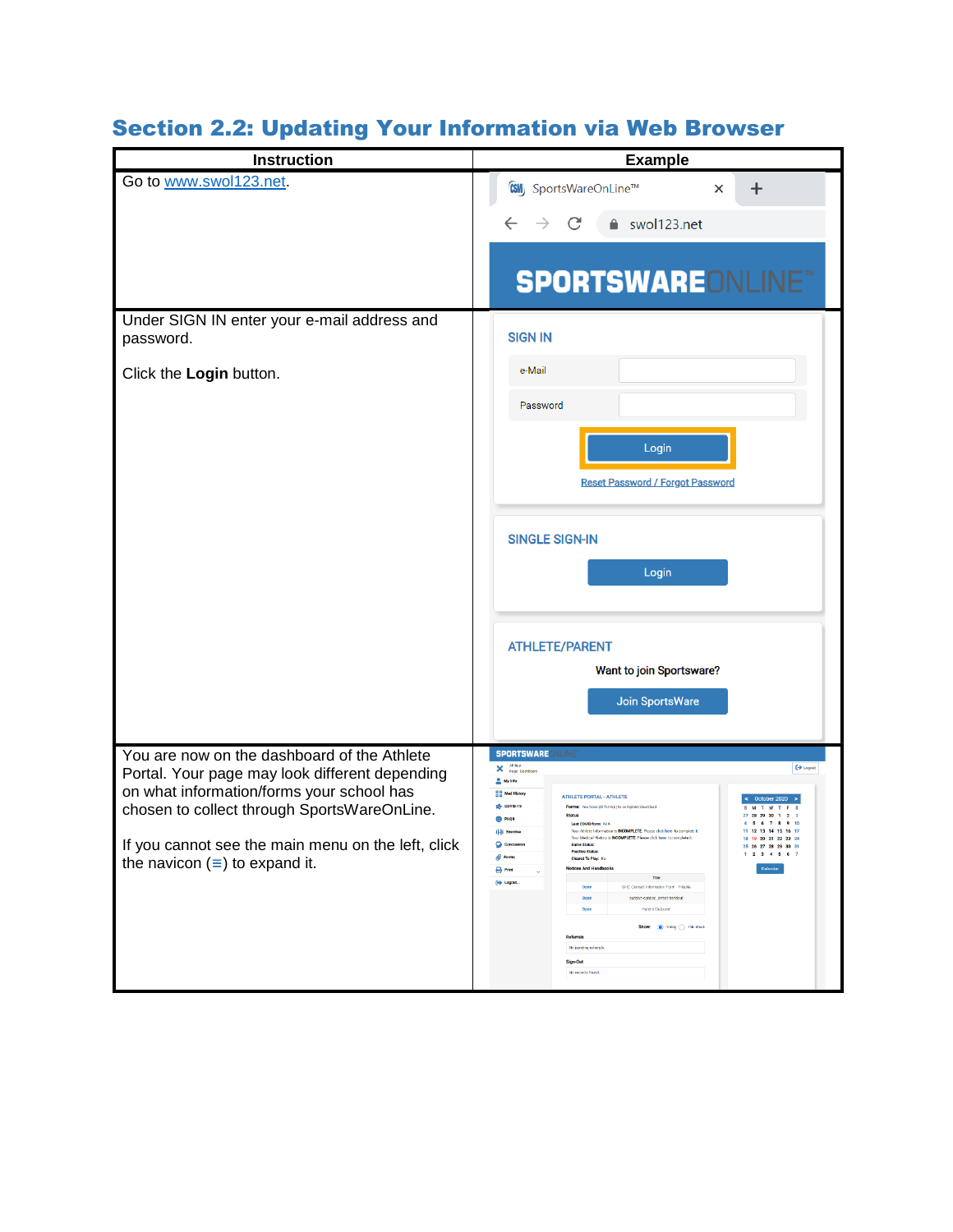| <b>Instruction</b>                                                                                                                                                                                                                                                                      | <b>Example</b>                                                                                                                                                                                                                                                                                                                                                                                                                                                                                                                                                                                                                                                                                                                                                                                                                                                                                                                                                                            |
|-----------------------------------------------------------------------------------------------------------------------------------------------------------------------------------------------------------------------------------------------------------------------------------------|-------------------------------------------------------------------------------------------------------------------------------------------------------------------------------------------------------------------------------------------------------------------------------------------------------------------------------------------------------------------------------------------------------------------------------------------------------------------------------------------------------------------------------------------------------------------------------------------------------------------------------------------------------------------------------------------------------------------------------------------------------------------------------------------------------------------------------------------------------------------------------------------------------------------------------------------------------------------------------------------|
| Go to www.swol123.net.<br>Under SIGN IN enter your e-mail address and<br>password.<br>Click the Login button.                                                                                                                                                                           | CSMij SportsWareOnLine™<br>$\times$<br>┿<br>swol123.net<br><b>SPORTSWARE</b> ONLINE™<br><b>SIGN IN</b><br>e-Mail                                                                                                                                                                                                                                                                                                                                                                                                                                                                                                                                                                                                                                                                                                                                                                                                                                                                          |
|                                                                                                                                                                                                                                                                                         | Password<br>Login<br><b>Reset Password / Forgot Password</b><br><b>SINGLE SIGN-IN</b><br>Login<br><b>ATHLETE/PARENT</b><br>Want to join Sportsware?<br>Join SportsWare                                                                                                                                                                                                                                                                                                                                                                                                                                                                                                                                                                                                                                                                                                                                                                                                                    |
| You are now on the dashboard of the Athlete<br>Portal. Your page may look different depending<br>on what information/forms your school has<br>chosen to collect through SportsWareOnLine.<br>If you cannot see the main menu on the left, click<br>the navicon $(\equiv)$ to expand it. | <b>SPORTSWAREONLINE</b><br>Athletic<br>$\leftrightarrow$ Logout<br>×<br>Page: Dashboard<br>My Info<br>음음 Med History<br><b>ATHLETE PORTAL - ATHLETE</b><br>$\frac{1}{200}$ COVID-19<br>Forms: You have 20 form(s) to complete/do<br><b>Status</b><br><sup>CO</sup> PHO9<br>Lest COVID form: N/A<br>Your Athlete Information is INCOMPLETE. Please click here to complete it<br><b>IHI Exercise</b><br>Your Medical History<br>PLETE Please click here to co<br>18 19 20 21 22 23 24<br><b>O</b> Con<br><b>Game Status:</b><br>25 26 27 28 29 30 31<br><b>Practice Status:</b><br>$1 \t2 \t3 \t4 \t5 \t6 \t7$<br><b>B</b> Forms<br>Cleared To Play: No<br><b>Notices And Handbooks</b><br><b>B</b> Print<br>Calendar<br>Title<br>[ Logout<br>SHC Contact Information Form - Fillatie<br>Open<br>sudden-cardiac_arrest-handout<br>Open<br><b>Patient Outcom</b><br>Open<br>Show: <sup>1</sup> Today 1 This Week<br><b>Referrals</b><br>No pending referrals<br>Sign-Out<br>No records found |

# Section 2.2: Updating Your Information via Web Browser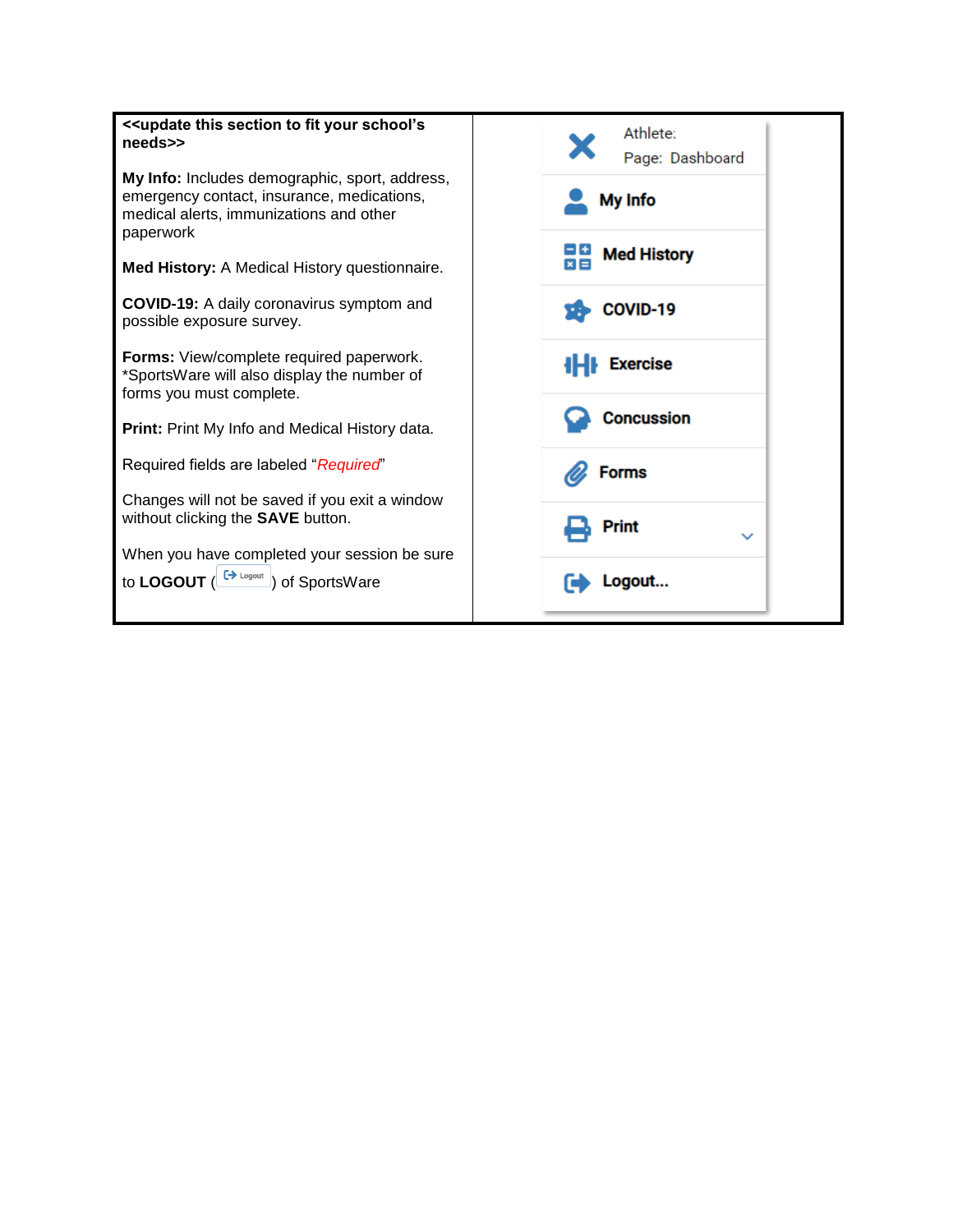| < <update fit="" school's<br="" section="" this="" to="" your="">needs&gt;&gt;</update>                                                              | Athlete:<br>Page: Dashboard |
|------------------------------------------------------------------------------------------------------------------------------------------------------|-----------------------------|
| My Info: Includes demographic, sport, address,<br>emergency contact, insurance, medications,<br>medical alerts, immunizations and other<br>paperwork | My Info                     |
| Med History: A Medical History questionnaire.                                                                                                        | <b>Med History</b><br>$x =$ |
| <b>COVID-19:</b> A daily coronavirus symptom and<br>possible exposure survey.                                                                        | COVID-19                    |
| Forms: View/complete required paperwork.<br>*SportsWare will also display the number of<br>forms you must complete.                                  | <b>Exercise</b>             |
| Print: Print My Info and Medical History data.                                                                                                       | <b>Concussion</b>           |
| Required fields are labeled "Required"                                                                                                               | <b>Forms</b>                |
| Changes will not be saved if you exit a window<br>without clicking the <b>SAVE</b> button.                                                           | Print<br>$\checkmark$       |
| When you have completed your session be sure<br>to LOGOUT $\left(\frac{[A_{\text{Logout}}]}{[A_{\text{Logout}}]}\right)$ of SportsWare               | Logout                      |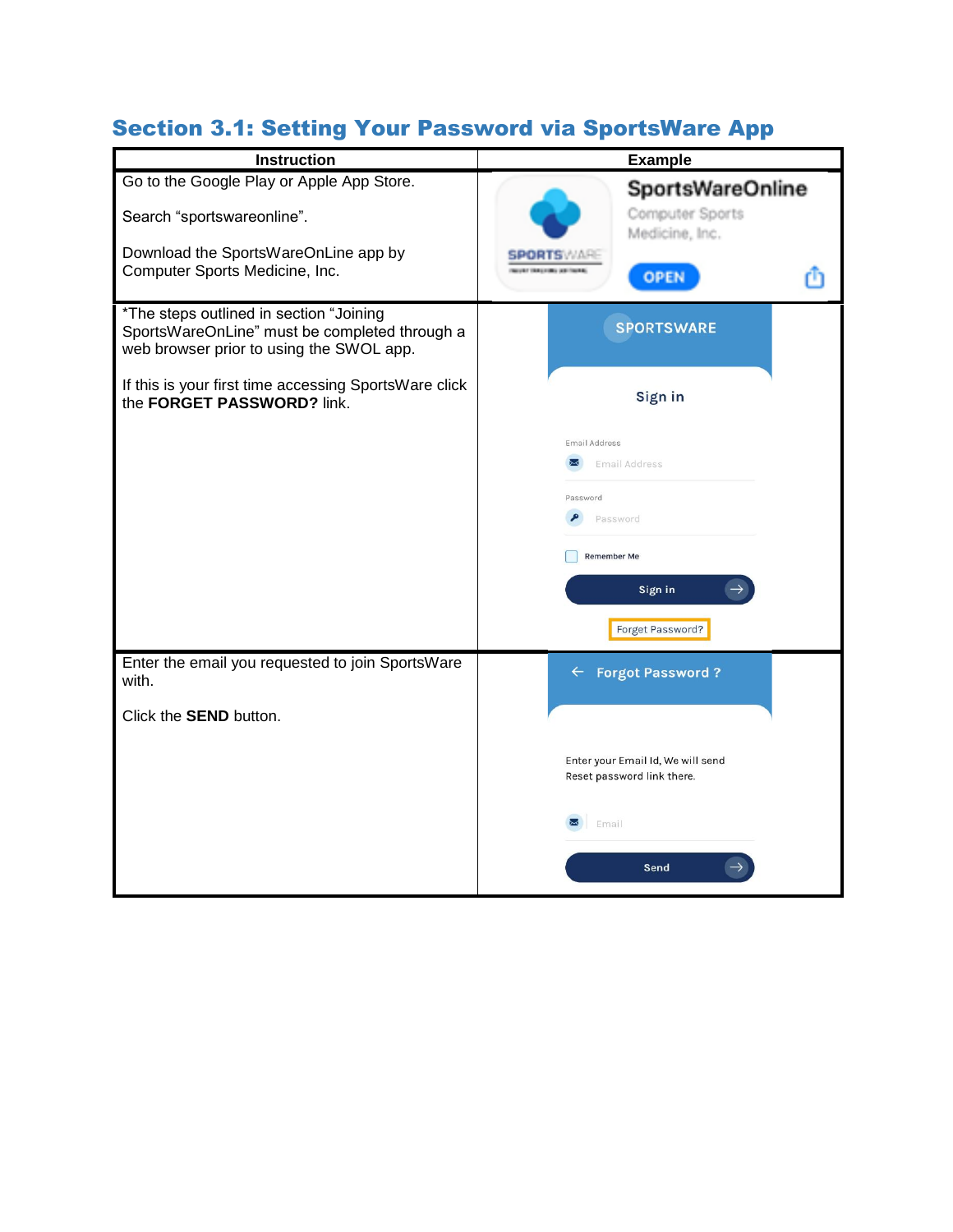#### Section 3.1: Setting Your Password via SportsWare App

| <b>Instruction</b>                                                                                                                   | <b>Example</b>                                                  |
|--------------------------------------------------------------------------------------------------------------------------------------|-----------------------------------------------------------------|
| Go to the Google Play or Apple App Store.<br>Search "sportswareonline".                                                              | <b>SportsWareOnline</b><br>Computer Sports<br>Medicine, Inc.    |
| Download the SportsWareOnLine app by<br>Computer Sports Medicine, Inc.                                                               | <b>OPEN</b>                                                     |
| *The steps outlined in section "Joining<br>SportsWareOnLine" must be completed through a<br>web browser prior to using the SWOL app. | <b>SPORTSWARE</b>                                               |
| If this is your first time accessing SportsWare click<br>the FORGET PASSWORD? link.                                                  | Sign in                                                         |
|                                                                                                                                      | <b>Email Address</b><br>Email Address                           |
|                                                                                                                                      | Password                                                        |
|                                                                                                                                      | Password<br><b>Remember Me</b>                                  |
|                                                                                                                                      | Sign in                                                         |
|                                                                                                                                      | Forget Password?                                                |
| Enter the email you requested to join SportsWare<br>with.                                                                            | <b>Forgot Password?</b><br>$\leftarrow$                         |
| Click the <b>SEND</b> button.                                                                                                        |                                                                 |
|                                                                                                                                      | Enter your Email Id, We will send<br>Reset password link there. |
|                                                                                                                                      | Email                                                           |
|                                                                                                                                      | Send                                                            |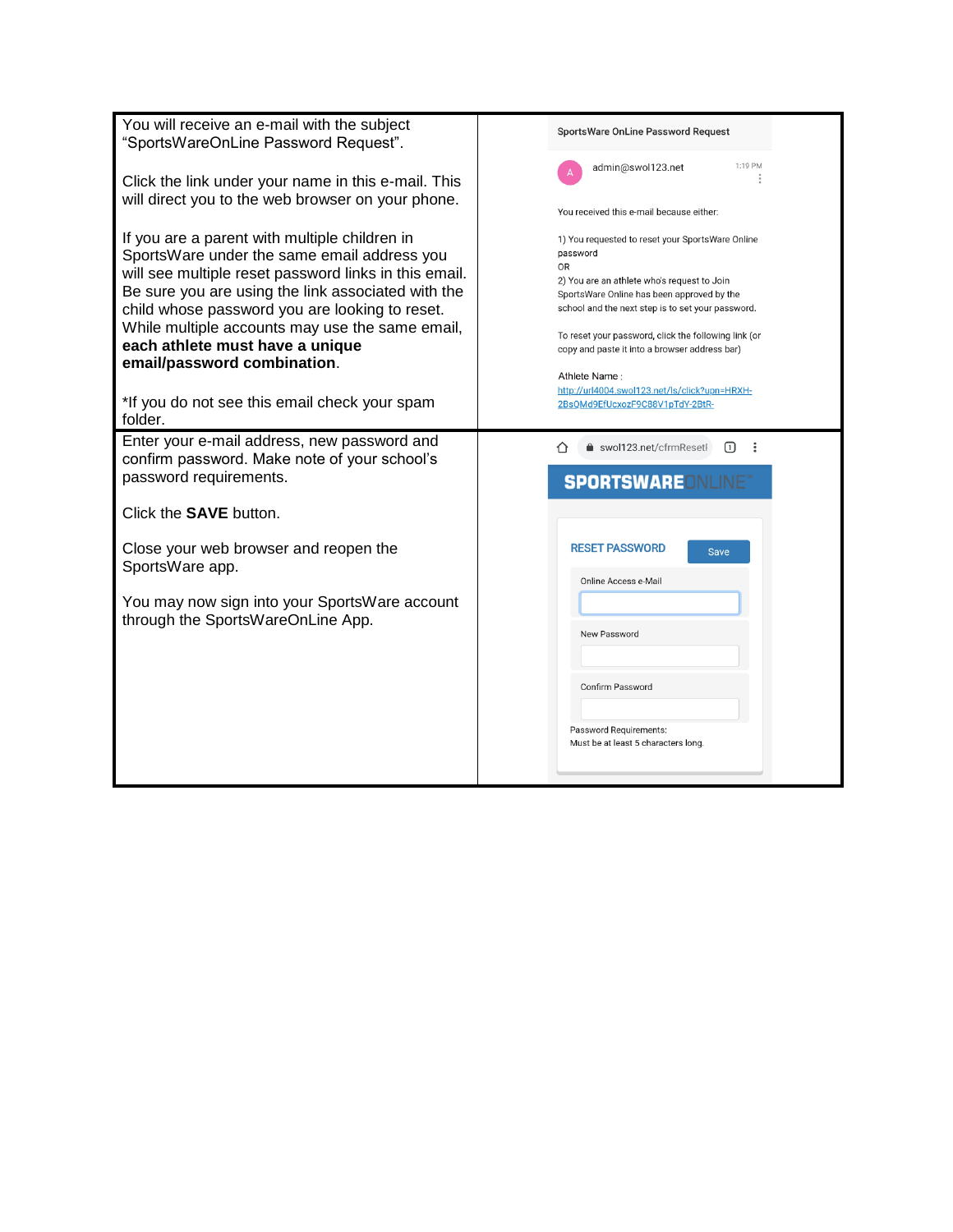| You will receive an e-mail with the subject<br>"SportsWareOnLine Password Request".                         | SportsWare OnLine Password Request                                                                    |
|-------------------------------------------------------------------------------------------------------------|-------------------------------------------------------------------------------------------------------|
| Click the link under your name in this e-mail. This<br>will direct you to the web browser on your phone.    | 1:19 PM<br>admin@swol123.net                                                                          |
|                                                                                                             | You received this e-mail because either:                                                              |
| If you are a parent with multiple children in<br>SportsWare under the same email address you                | 1) You requested to reset your SportsWare Online<br>password                                          |
| will see multiple reset password links in this email.<br>Be sure you are using the link associated with the | OR<br>2) You are an athlete who's request to Join<br>SportsWare Online has been approved by the       |
| child whose password you are looking to reset.                                                              | school and the next step is to set your password.                                                     |
| While multiple accounts may use the same email,<br>each athlete must have a unique                          | To reset your password, click the following link (or<br>copy and paste it into a browser address bar) |
| email/password combination.                                                                                 | Athlete Name:<br>http://url4004.swol123.net/ls/click?upn=HRXH-                                        |
| *If you do not see this email check your spam<br>folder.                                                    | 2BsQMd9EfUcxozF9C88V1pTdY-2BtR-                                                                       |
| Enter your e-mail address, new password and<br>confirm password. Make note of your school's                 | swol123.net/cfrmResetF<br>൩<br>- :<br>∩                                                               |
| password requirements.                                                                                      | <b>SPORTSWAREONLINE®</b>                                                                              |
| Click the <b>SAVE</b> button.                                                                               |                                                                                                       |
| Close your web browser and reopen the<br>SportsWare app.                                                    | <b>RESET PASSWORD</b><br><b>Save</b>                                                                  |
| You may now sign into your SportsWare account                                                               | Online Access e-Mail                                                                                  |
| through the SportsWareOnLine App.                                                                           | New Password                                                                                          |
|                                                                                                             |                                                                                                       |
|                                                                                                             | Confirm Password                                                                                      |
|                                                                                                             | Password Requirements:<br>Must be at least 5 characters long.                                         |
|                                                                                                             |                                                                                                       |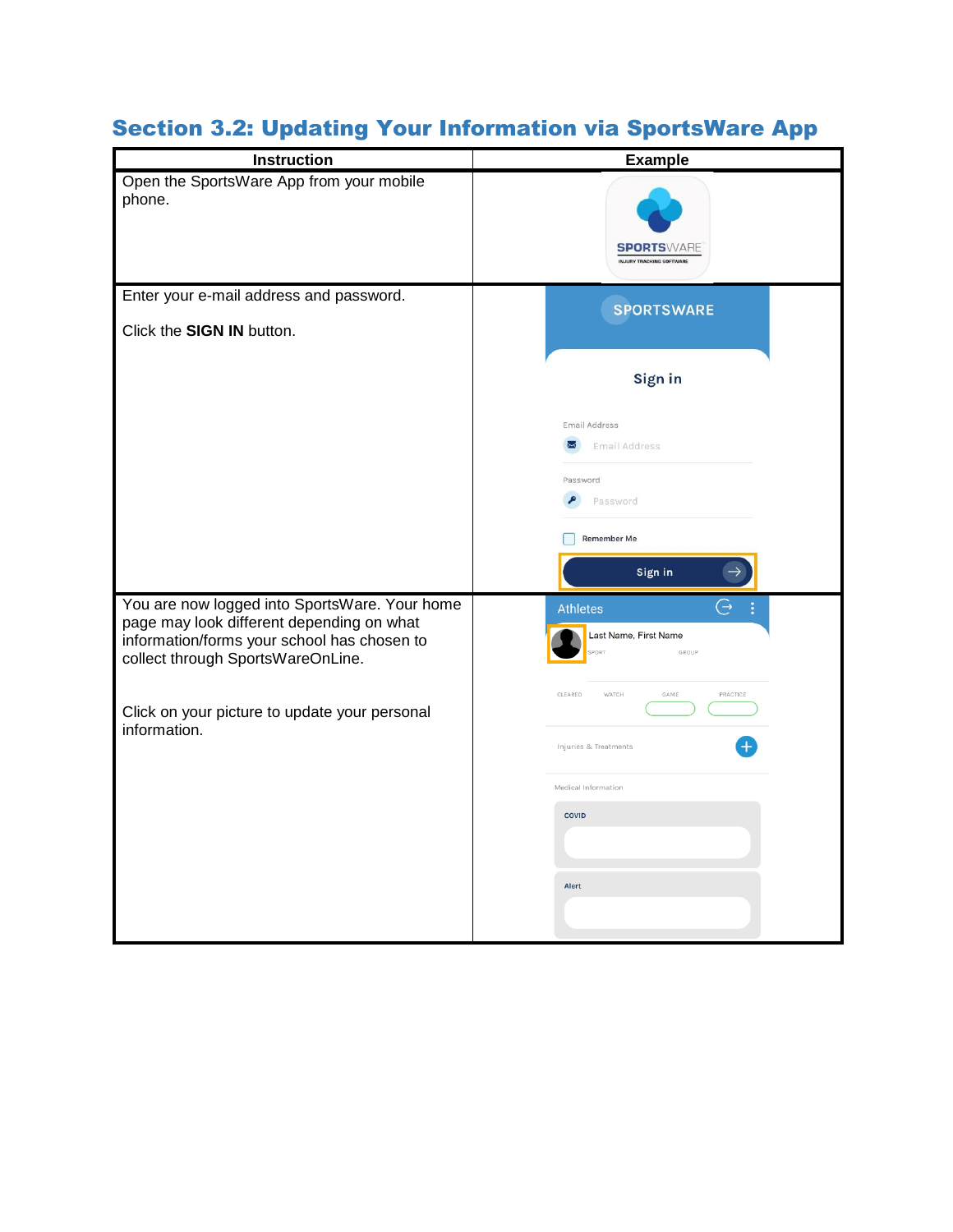| Instruction                                                                                                                                                                    | <b>Example</b>                                                 |
|--------------------------------------------------------------------------------------------------------------------------------------------------------------------------------|----------------------------------------------------------------|
| Open the SportsWare App from your mobile<br>phone.                                                                                                                             | <b>SPORTSWARE</b><br><b>INJURY TRACKING SOFTWAR</b>            |
| Enter your e-mail address and password.<br>Click the SIGN IN button.                                                                                                           | <b>SPORTSWARE</b>                                              |
|                                                                                                                                                                                | Sign in                                                        |
|                                                                                                                                                                                | Email Address<br><b>Email Address</b><br>⋈                     |
|                                                                                                                                                                                | Password<br>Password                                           |
|                                                                                                                                                                                | Remember Me<br>Sign in                                         |
| You are now logged into SportsWare. Your home<br>page may look different depending on what<br>information/forms your school has chosen to<br>collect through SportsWareOnLine. | G<br><b>Athletes</b><br>Last Name, First Name<br>PORT<br>GROUP |
| Click on your picture to update your personal<br>information.                                                                                                                  | WATCH<br>GAME<br>PRACTICE<br>CLEARED                           |
|                                                                                                                                                                                | Injuries & Treatments<br>Medical Information                   |
|                                                                                                                                                                                | COVID                                                          |
|                                                                                                                                                                                | Alert                                                          |
|                                                                                                                                                                                |                                                                |

# Section 3.2: Updating Your Information via SportsWare App